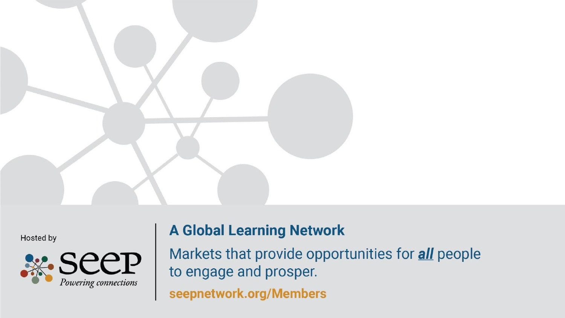

Hosted by



#### **A Global Learning Network**

Markets that provide opportunities for *all* people to engage and prosper.

seepnetwork.org/Members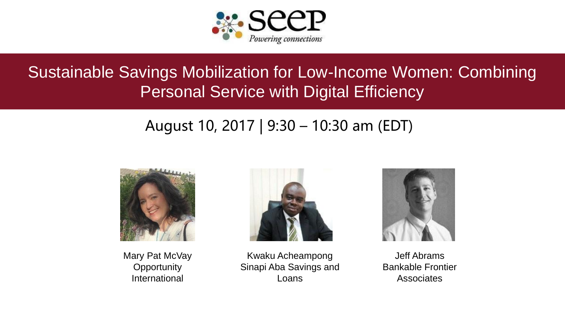

### Sustainable Savings Mobilization for Low-Income Women: Combining Personal Service with Digital Efficiency

### August 10, 2017 | 9:30 – 10:30 am (EDT)



Mary Pat McVay **Opportunity** International



Kwaku Acheampong Sinapi Aba Savings and Loans



Jeff Abrams Bankable Frontier Associates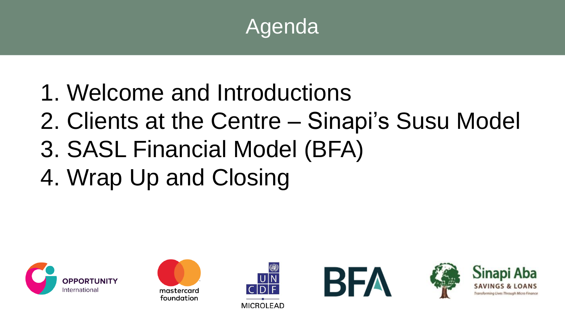

- 1. Welcome and Introductions
- 2. Clients at the Centre Sinapi's Susu Model
- 3. SASL Financial Model (BFA)
- 4. Wrap Up and Closing











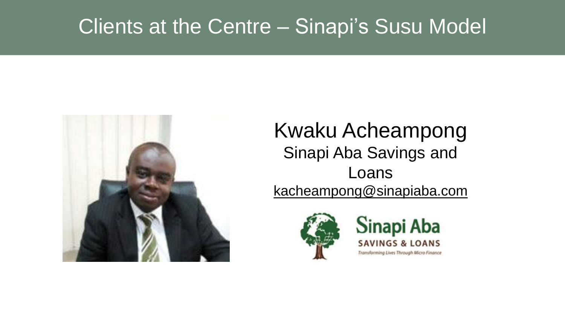### Clients at the Centre – Sinapi's Susu Model



### Kwaku Acheampong Sinapi Aba Savings and Loans kacheampong@sinapiaba.com



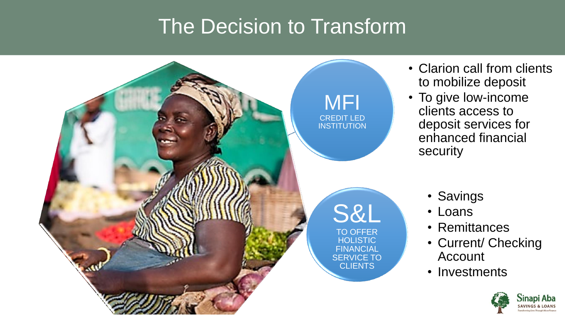### The Decision to Transform

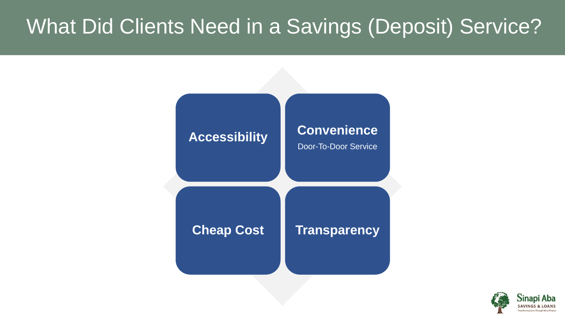### What Did Clients Need in a Savings (Deposit) Service?



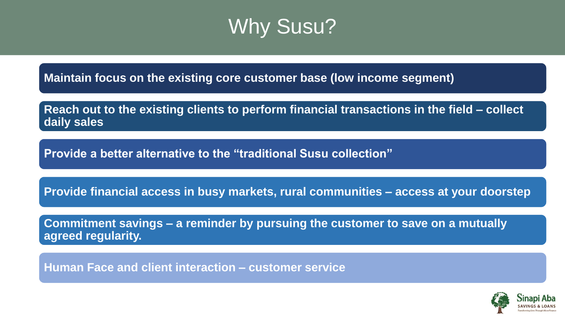### Why Susu?

**Maintain focus on the existing core customer base (low income segment)** 

**Reach out to the existing clients to perform financial transactions in the field – collect daily sales**

**Provide a better alternative to the "traditional Susu collection"**

**Provide financial access in busy markets, rural communities – access at your doorstep**

**Commitment savings – a reminder by pursuing the customer to save on a mutually agreed regularity.** 

**Human Face and client interaction – customer service**

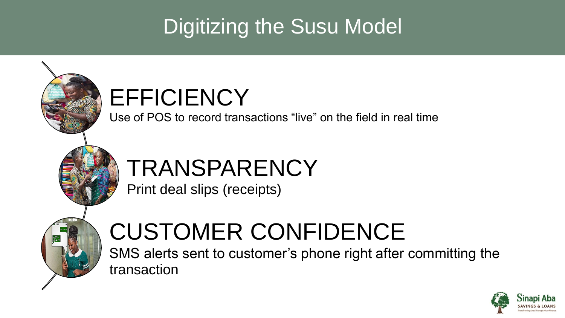## Digitizing the Susu Model



SMS alerts sent to customer's phone right after committing the transaction

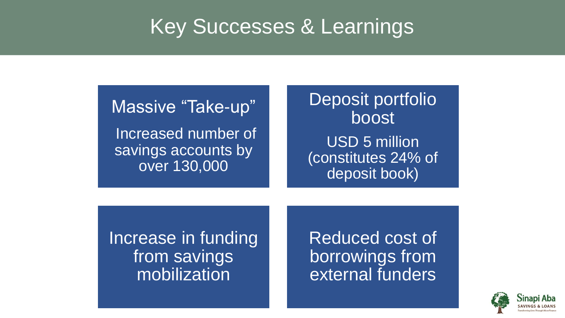### Key Successes & Learnings

Massive "Take-up" Increased number of savings accounts by over 130,000

Deposit portfolio boost USD 5 million (constitutes 24% of deposit book)

Increase in funding from savings mobilization

Reduced cost of borrowings from external funders

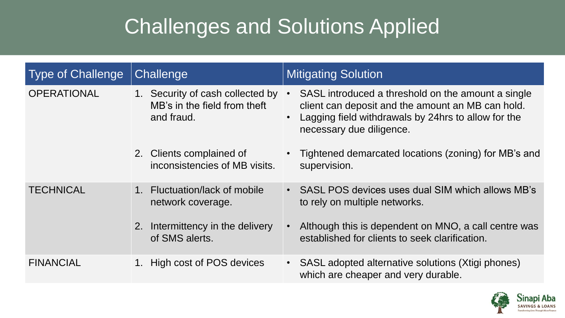## Challenges and Solutions Applied

| Type of Challenge  | Challenge                                                                      | <b>Mitigating Solution</b>                                                                                                                                                                 |
|--------------------|--------------------------------------------------------------------------------|--------------------------------------------------------------------------------------------------------------------------------------------------------------------------------------------|
| <b>OPERATIONAL</b> | 1. Security of cash collected by<br>MB's in the field from theft<br>and fraud. | SASL introduced a threshold on the amount a single<br>client can deposit and the amount an MB can hold.<br>Lagging field withdrawals by 24hrs to allow for the<br>necessary due diligence. |
|                    | 2. Clients complained of<br>inconsistencies of MB visits.                      | Tightened demarcated locations (zoning) for MB's and<br>supervision.                                                                                                                       |
| <b>TECHNICAL</b>   | 1. Fluctuation/lack of mobile<br>network coverage.                             | • SASL POS devices uses dual SIM which allows MB's<br>to rely on multiple networks.                                                                                                        |
|                    | 2. Intermittency in the delivery<br>of SMS alerts.                             | Although this is dependent on MNO, a call centre was<br>established for clients to seek clarification.                                                                                     |
| <b>FINANCIAL</b>   | 1. High cost of POS devices                                                    | SASL adopted alternative solutions (Xtigi phones)<br>$\bullet$<br>which are cheaper and very durable.                                                                                      |

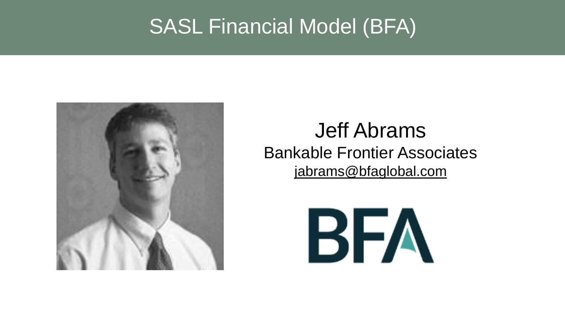### SASL Financial Model (BFA)



### Jeff Abrams Bankable Frontier Associates jabrams@bfaglobal.com

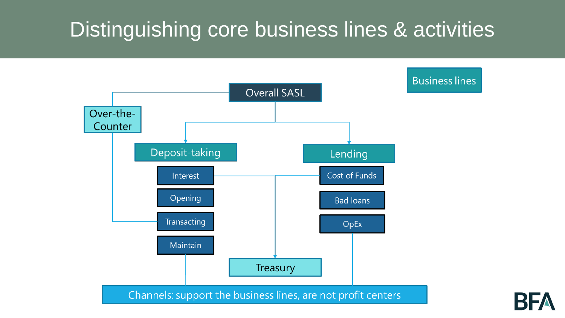### Distinguishing core business lines & activities

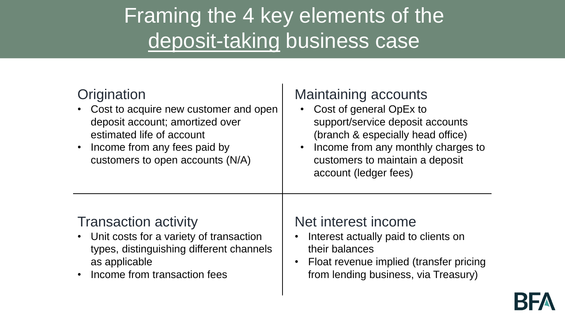## Framing the 4 key elements of the deposit-taking business case

#### **Origination**

- Cost to acquire new customer and open deposit account; amortized over estimated life of account
- Income from any fees paid by customers to open accounts (N/A)

#### Maintaining accounts

- Cost of general OpEx to support/service deposit accounts (branch & especially head office)
- Income from any monthly charges to customers to maintain a deposit account (ledger fees)

#### Transaction activity

- Unit costs for a variety of transaction types, distinguishing different channels as applicable
- Income from transaction fees

#### Net interest income

- Interest actually paid to clients on their balances
- Float revenue implied (transfer pricing from lending business, via Treasury)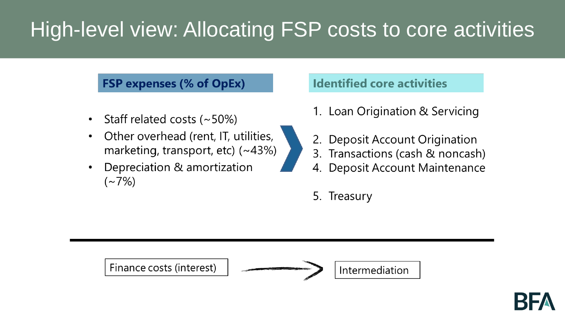## High-level view: Allocating FSP costs to core activities

#### **FSP expenses (% of OpEx)**

- Staff related costs  $(-50%)$
- Other overhead (rent, IT, utilities,  $\bullet$ marketing, transport, etc)  $(-43%)$
- Depreciation & amortization  $({\sim}7\%)$

#### **Identified core activities**

- 1. Loan Origination & Servicing
- **Deposit Account Origination**
- 3. Transactions (cash & noncash)
- 4. Deposit Account Maintenance
- 5. Treasury

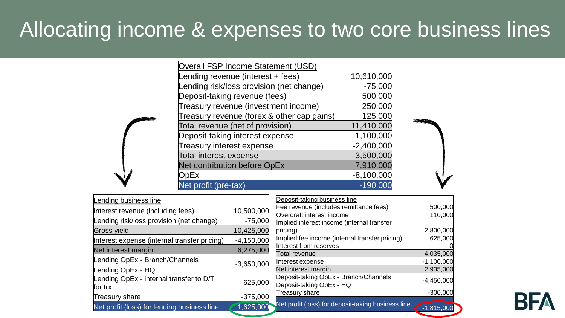### Allocating income & expenses to two core business lines

| Overall FSP Income Statement (USD)         |              |  |
|--------------------------------------------|--------------|--|
| Lending revenue (interest + fees)          | 10,610,000   |  |
| Lending risk/loss provision (net change)   | $-75,000$    |  |
| Deposit-taking revenue (fees)              | 500,000      |  |
| Treasury revenue (investment income)       | 250,000      |  |
| Treasury revenue (forex & other cap gains) | 125,000      |  |
| Total revenue (net of provision)           | 11,410,000   |  |
| Deposit-taking interest expense            | $-1,100,000$ |  |
| <b>Treasury interest expense</b>           | $-2,400,000$ |  |
| <b>Total interest expense</b>              | $-3,500,000$ |  |
| Net contribution before OpEx               | 7,910,000    |  |
| <b>DpEx</b>                                | $-8,100,000$ |  |
| Net profit (pre-tax)                       | $-190,000$   |  |
|                                            |              |  |

| Lending business line                        |              | Deposit-taking business line                       |              |
|----------------------------------------------|--------------|----------------------------------------------------|--------------|
| Interest revenue (including fees)            | 10,500,000   | Fee revenue (includes remittance fees)             | 500,000      |
|                                              |              | Overdraft interest income                          | 110,000      |
| Lending risk/loss provision (net change)     | $-75,000$    | Implied interest income (internal transfer         |              |
| Gross yield                                  | 10,425,000   | pricing)                                           | 2,800,000    |
| Interest expense (internal transfer pricing) | $-4,150,000$ | Implied fee income (internal transfer pricing)     | 625,000      |
| Net interest margin                          | 6,275,000    | Interest from reserves                             |              |
|                                              |              | Total revenue                                      | 4,035,000    |
| Lending OpEx - Branch/Channels               | $-3,650,000$ | Interest expense                                   | $-1,100,000$ |
| Lending OpEx - HQ                            |              | Net interest margin                                | 2,935,000    |
| Lending OpEx - internal transfer to D/T      |              | Deposit-taking OpEx - Branch/Channels              | $-4,450,000$ |
| for trx                                      | $-625,000$   | Deposit-taking OpEx - HQ                           |              |
|                                              |              | Treasury share                                     | $-300,000$   |
| Treasury share                               | $-375,000$   |                                                    |              |
| Net profit (loss) for lending business line  | 1,625,000    | Net profit (loss) for deposit-taking business line | $-1,815,000$ |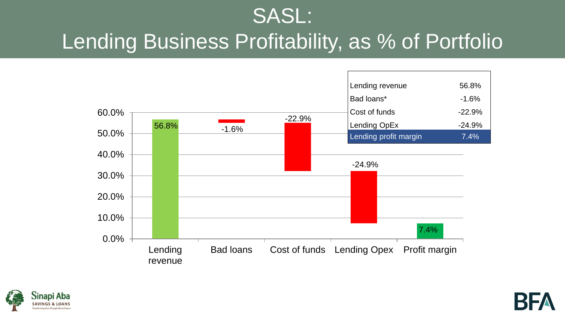### SASL: Lending Business Profitability, as % of Portfolio





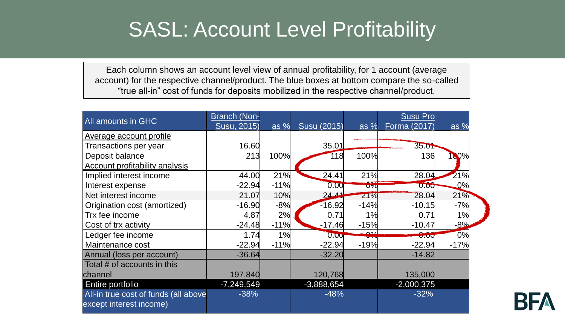### SASL: Account Level Profitability

Each column shows an account level view of annual profitability, for 1 account (average account) for the respective channel/product. The blue boxes at bottom compare the so-called "true all-in" cost of funds for deposits mobilized in the respective channel/product.

| All amounts in GHC                                              | <b>Branch (Non-</b><br><b>Susu, 2015)</b> | as $%$ | Susu (2015)  | as $%$   | <b>Susu Pro</b><br>Forma (2017) | $\overline{as} %$ |
|-----------------------------------------------------------------|-------------------------------------------|--------|--------------|----------|---------------------------------|-------------------|
| Average account profile                                         |                                           |        |              |          |                                 |                   |
| Transactions per year                                           | 16.60                                     |        | 35.01        |          | 35.01                           |                   |
| Deposit balance                                                 | 213                                       | 100%   | 118          | 100%     | 136                             | 100%              |
| Account profitability analysis                                  |                                           |        |              |          |                                 |                   |
| Implied interest income                                         | 44.00                                     | 21%    | 24.41        | 21%      | 28.04                           | 21%               |
| Interest expense                                                | $-22.94$                                  | $-11%$ | 0.00         | $U$ $70$ | 0.00                            | 0%                |
| Net interest income                                             | 21.07                                     | 10%    | 24.44        | 21%      | 28.04                           | 21%               |
| Origination cost (amortized)                                    | $-16.90$                                  | $-8%$  | $-16.92$     | $-14%$   | $-10.15$                        | $-7%$             |
| Trx fee income                                                  | 4.87                                      | 2%     | 0.71         | 1%       | 0.71                            | 1%                |
| Cost of trx activity                                            | $-24.48$                                  | $-11%$ | $-17.46$     | $-15%$   | $-10.47$                        | $-8%$             |
| Ledger fee income                                               | 1.74                                      | 1%     | 0.00         | لعم      | 0.00                            | 0%                |
| Maintenance cost                                                | $-22.94$                                  | $-11%$ | $-22.94$     | $-19%$   | $-22.94$                        | $-17%$            |
| Annual (loss per account)                                       | $-36.64$                                  |        | $-32.20$     |          | $-14.82$                        |                   |
| Total # of accounts in this                                     |                                           |        |              |          |                                 |                   |
| channel                                                         | 197,840                                   |        | 120,768      |          | 135,000                         |                   |
| Entire portfolio                                                | $-7,249,549$                              |        | $-3,888,654$ |          | $-2,000,375$                    |                   |
| All-in true cost of funds (all above<br>except interest income) | $-38%$                                    |        | $-48%$       |          | $-32%$                          |                   |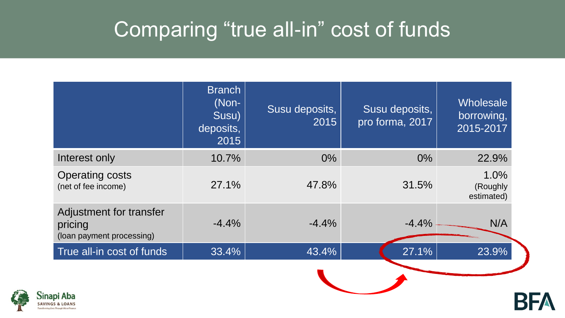### Comparing "true all-in" cost of funds

|                                                                 | <b>Branch</b><br>(Non-<br>Susu)<br>deposits,<br>2015 | Susu deposits,<br>2015 | Susu deposits,<br>pro forma, 2017 | Wholesale<br>borrowing,<br>2015-2017 |
|-----------------------------------------------------------------|------------------------------------------------------|------------------------|-----------------------------------|--------------------------------------|
| Interest only                                                   | 10.7%                                                | $0\%$                  | $0\%$                             | 22.9%                                |
| <b>Operating costs</b><br>(net of fee income)                   | 27.1%                                                | 47.8%                  | 31.5%                             | 1.0%<br>(Roughly<br>estimated)       |
| Adjustment for transfer<br>pricing<br>(loan payment processing) | $-4.4%$                                              | $-4.4%$                | $-4.4%$                           | N/A                                  |
| True all-in cost of funds                                       | 33.4%                                                | 43.4%                  | 27.1%                             | 23.9%                                |
| api Aba                                                         |                                                      |                        |                                   |                                      |

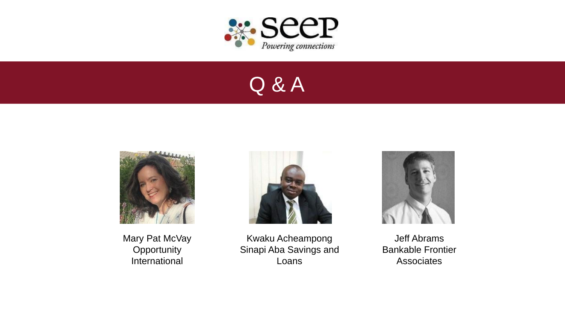

### Q & A



Mary Pat McVay **Opportunity** International



Kwaku Acheampong Sinapi Aba Savings and Loans



Jeff Abrams Bankable Frontier Associates